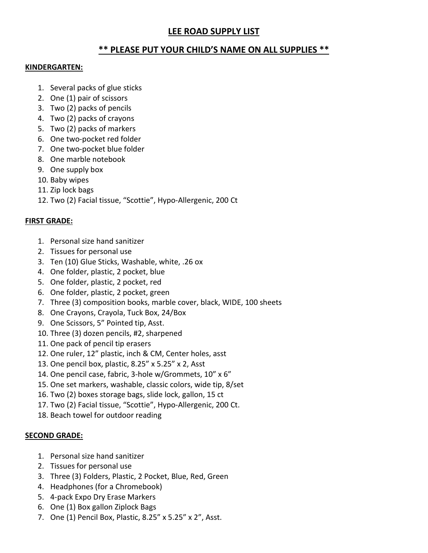## **LEE ROAD SUPPLY LIST**

# **\*\* PLEASE PUT YOUR CHILD'S NAME ON ALL SUPPLIES \*\***

#### **KINDERGARTEN:**

- 1. Several packs of glue sticks
- 2. One (1) pair of scissors
- 3. Two (2) packs of pencils
- 4. Two (2) packs of crayons
- 5. Two (2) packs of markers
- 6. One two-pocket red folder
- 7. One two-pocket blue folder
- 8. One marble notebook
- 9. One supply box
- 10. Baby wipes
- 11. Zip lock bags
- 12. Two (2) Facial tissue, "Scottie", Hypo-Allergenic, 200 Ct

### **FIRST GRADE:**

- 1. Personal size hand sanitizer
- 2. Tissues for personal use
- 3. Ten (10) Glue Sticks, Washable, white, .26 ox
- 4. One folder, plastic, 2 pocket, blue
- 5. One folder, plastic, 2 pocket, red
- 6. One folder, plastic, 2 pocket, green
- 7. Three (3) composition books, marble cover, black, WIDE, 100 sheets
- 8. One Crayons, Crayola, Tuck Box, 24/Box
- 9. One Scissors, 5" Pointed tip, Asst.
- 10. Three (3) dozen pencils, #2, sharpened
- 11. One pack of pencil tip erasers
- 12. One ruler, 12" plastic, inch & CM, Center holes, asst
- 13. One pencil box, plastic, 8.25" x 5.25" x 2, Asst
- 14. One pencil case, fabric, 3-hole w/Grommets, 10" x 6"
- 15. One set markers, washable, classic colors, wide tip, 8/set
- 16. Two (2) boxes storage bags, slide lock, gallon, 15 ct
- 17. Two (2) Facial tissue, "Scottie", Hypo-Allergenic, 200 Ct.
- 18. Beach towel for outdoor reading

### **SECOND GRADE:**

- 1. Personal size hand sanitizer
- 2. Tissues for personal use
- 3. Three (3) Folders, Plastic, 2 Pocket, Blue, Red, Green
- 4. Headphones (for a Chromebook)
- 5. 4-pack Expo Dry Erase Markers
- 6. One (1) Box gallon Ziplock Bags
- 7. One (1) Pencil Box, Plastic, 8.25" x 5.25" x 2", Asst.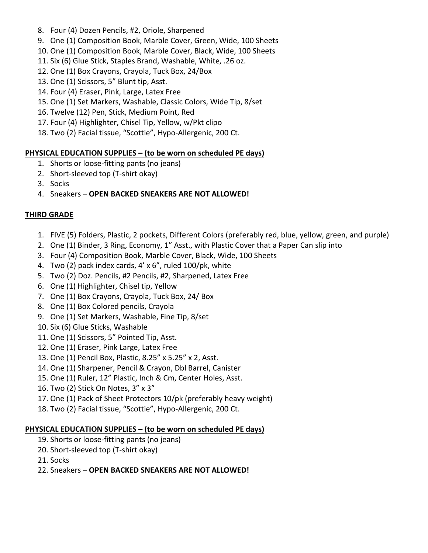- 8. Four (4) Dozen Pencils, #2, Oriole, Sharpened
- 9. One (1) Composition Book, Marble Cover, Green, Wide, 100 Sheets
- 10. One (1) Composition Book, Marble Cover, Black, Wide, 100 Sheets
- 11. Six (6) Glue Stick, Staples Brand, Washable, White, .26 oz.
- 12. One (1) Box Crayons, Crayola, Tuck Box, 24/Box
- 13. One (1) Scissors, 5" Blunt tip, Asst.
- 14. Four (4) Eraser, Pink, Large, Latex Free
- 15. One (1) Set Markers, Washable, Classic Colors, Wide Tip, 8/set
- 16. Twelve (12) Pen, Stick, Medium Point, Red
- 17. Four (4) Highlighter, Chisel Tip, Yellow, w/Pkt clipo
- 18. Two (2) Facial tissue, "Scottie", Hypo-Allergenic, 200 Ct.

### **PHYSICAL EDUCATION SUPPLIES – (to be worn on scheduled PE days)**

- 1. Shorts or loose-fitting pants (no jeans)
- 2. Short-sleeved top (T-shirt okay)
- 3. Socks
- 4. Sneakers **OPEN BACKED SNEAKERS ARE NOT ALLOWED!**

## **THIRD GRADE**

- 1. FIVE (5) Folders, Plastic, 2 pockets, Different Colors (preferably red, blue, yellow, green, and purple)
- 2. One (1) Binder, 3 Ring, Economy, 1" Asst., with Plastic Cover that a Paper Can slip into
- 3. Four (4) Composition Book, Marble Cover, Black, Wide, 100 Sheets
- 4. Two (2) pack index cards, 4' x 6", ruled 100/pk, white
- 5. Two (2) Doz. Pencils, #2 Pencils, #2, Sharpened, Latex Free
- 6. One (1) Highlighter, Chisel tip, Yellow
- 7. One (1) Box Crayons, Crayola, Tuck Box, 24/ Box
- 8. One (1) Box Colored pencils, Crayola
- 9. One (1) Set Markers, Washable, Fine Tip, 8/set
- 10. Six (6) Glue Sticks, Washable
- 11. One (1) Scissors, 5" Pointed Tip, Asst.
- 12. One (1) Eraser, Pink Large, Latex Free
- 13. One (1) Pencil Box, Plastic, 8.25" x 5.25" x 2, Asst.
- 14. One (1) Sharpener, Pencil & Crayon, Dbl Barrel, Canister
- 15. One (1) Ruler, 12" Plastic, Inch & Cm, Center Holes, Asst.
- 16. Two (2) Stick On Notes, 3" x 3"
- 17. One (1) Pack of Sheet Protectors 10/pk (preferably heavy weight)
- 18. Two (2) Facial tissue, "Scottie", Hypo-Allergenic, 200 Ct.

### **PHYSICAL EDUCATION SUPPLIES – (to be worn on scheduled PE days)**

- 19. Shorts or loose-fitting pants (no jeans)
- 20. Short-sleeved top (T-shirt okay)
- 21. Socks
- 22. Sneakers **OPEN BACKED SNEAKERS ARE NOT ALLOWED!**